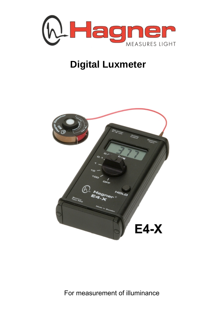

## **Digital Luxmeter**



For measurement of illuminance